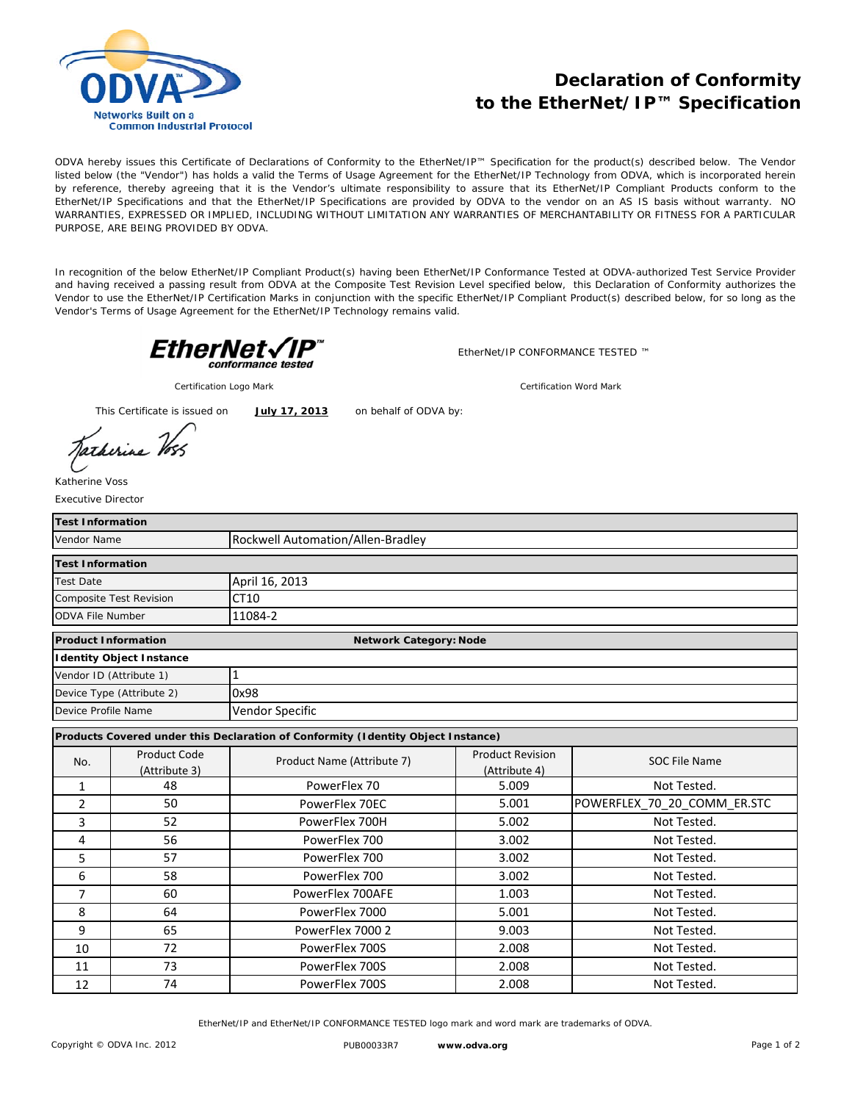

## **Declaration of Conformity to the EtherNet/IP™ Specification**

ODVA hereby issues this Certificate of Declarations of Conformity to the EtherNet/IP™ Specification for the product(s) described below. The Vendor listed below (the "Vendor") has holds a valid the Terms of Usage Agreement for the EtherNet/IP Technology from ODVA, which is incorporated herein by reference, thereby agreeing that it is the Vendor's ultimate responsibility to assure that its EtherNet/IP Compliant Products conform to the EtherNet/IP Specifications and that the EtherNet/IP Specifications are provided by ODVA to the vendor on an AS IS basis without warranty. NO WARRANTIES, EXPRESSED OR IMPLIED, INCLUDING WITHOUT LIMITATION ANY WARRANTIES OF MERCHANTABILITY OR FITNESS FOR A PARTICULAR PURPOSE, ARE BEING PROVIDED BY ODVA.

In recognition of the below EtherNet/IP Compliant Product(s) having been EtherNet/IP Conformance Tested at ODVA-authorized Test Service Provider and having received a passing result from ODVA at the Composite Test Revision Level specified below, this Declaration of Conformity authorizes the Vendor to use the EtherNet/IP Certification Marks in conjunction with the specific EtherNet/IP Compliant Product(s) described below, for so long as the Vendor's Terms of Usage Agreement for the EtherNet/IP Technology remains valid.



EtherNet/IP CONFORMANCE TESTED ™

*Certification Logo Mark Certification Word Mark*

This Certificate is issued on **July 17, 2013**

on behalf of ODVA by:

Executive Director Katherine Voss

| <b>Test Information</b>                                                          |                                 |                                   |                         |                             |  |  |  |
|----------------------------------------------------------------------------------|---------------------------------|-----------------------------------|-------------------------|-----------------------------|--|--|--|
| Vendor Name                                                                      |                                 | Rockwell Automation/Allen-Bradley |                         |                             |  |  |  |
| <b>Test Information</b>                                                          |                                 |                                   |                         |                             |  |  |  |
| <b>Test Date</b>                                                                 |                                 | April 16, 2013                    |                         |                             |  |  |  |
| Composite Test Revision                                                          |                                 | CT10                              |                         |                             |  |  |  |
| <b>ODVA File Number</b>                                                          |                                 | 11084-2                           |                         |                             |  |  |  |
| <b>Product Information</b><br><b>Network Category: Node</b>                      |                                 |                                   |                         |                             |  |  |  |
|                                                                                  | <b>Identity Object Instance</b> |                                   |                         |                             |  |  |  |
| Vendor ID (Attribute 1)                                                          |                                 | 1                                 |                         |                             |  |  |  |
| Device Type (Attribute 2)                                                        |                                 | 0x98                              |                         |                             |  |  |  |
| Device Profile Name                                                              |                                 | Vendor Specific                   |                         |                             |  |  |  |
| Products Covered under this Declaration of Conformity (Identity Object Instance) |                                 |                                   |                         |                             |  |  |  |
| No.                                                                              | <b>Product Code</b>             | Product Name (Attribute 7)        | <b>Product Revision</b> | <b>SOC File Name</b>        |  |  |  |
|                                                                                  | (Attribute 3)                   |                                   | (Attribute 4)           |                             |  |  |  |
| 1                                                                                | 48                              | PowerFlex 70                      | 5.009                   | Not Tested.                 |  |  |  |
| 2                                                                                | 50                              | PowerFlex 70EC                    | 5.001                   | POWERFLEX 70 20 COMM ER.STC |  |  |  |
| 3                                                                                | 52                              | PowerFlex 700H                    | 5.002                   | Not Tested.                 |  |  |  |
| 4                                                                                | 56                              | PowerFlex 700                     | 3.002                   | Not Tested.                 |  |  |  |
| 5                                                                                | 57                              | PowerFlex 700                     | 3.002                   | Not Tested.                 |  |  |  |
| 6                                                                                | 58                              | PowerFlex 700                     | 3.002                   | Not Tested.                 |  |  |  |
| 7                                                                                | 60                              | PowerFlex 700AFE                  | 1.003                   | Not Tested.                 |  |  |  |
| 8                                                                                | 64                              | PowerFlex 7000                    | 5.001                   | Not Tested.                 |  |  |  |
| 9                                                                                | 65                              | PowerFlex 7000 2                  | 9.003                   | Not Tested.                 |  |  |  |
| 10                                                                               | 72                              | PowerFlex 700S                    | 2.008                   | Not Tested.                 |  |  |  |
| 11                                                                               | 73                              | PowerFlex 700S                    | 2.008                   | Not Tested.                 |  |  |  |
| 12                                                                               | 74                              | PowerFlex 700S                    | 2.008                   | Not Tested.                 |  |  |  |

EtherNet/IP and EtherNet/IP CONFORMANCE TESTED logo mark and word mark are trademarks of ODVA.